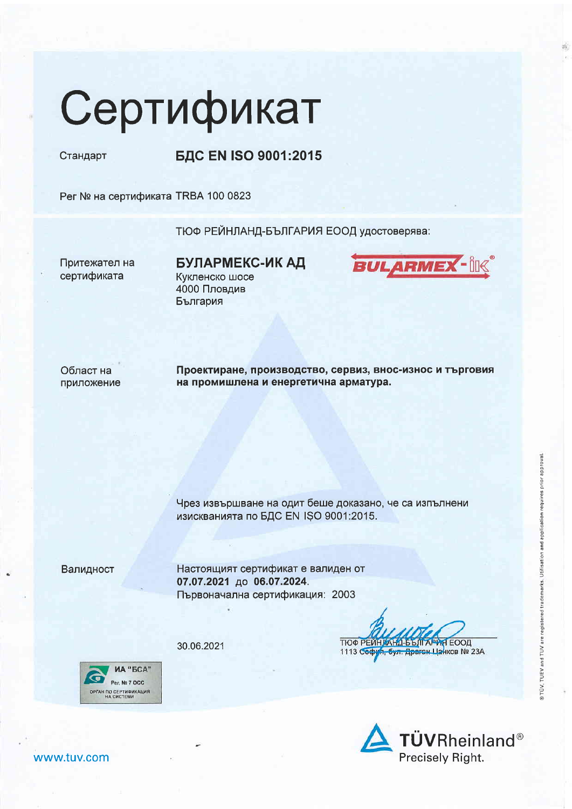## Сертификат

Стандарт

**БДС EN ISO 9001:2015** 

Рег № на сертификата TRBA 100 0823

ТЮФ РЕЙНЛАНД-БЪЛГАРИЯ ЕООД удостоверява:

Притежател на сертификата

БУЛАРМЕКС-ИК АД Кукленско шосе 4000 Пловдив България



Област на приложение Проектиране, производство, сервиз, внос-износ и търговия на промишлена и енергетична арматура.

Чрез извършване на одит беше доказано, че са изпълнени изискванията по БДС EN ISO 9001:2015.

Валидност

Настоящият сертификат е валиден от 07.07.2021 до 06.07.2024. Първоначална сертификация: 2003

30.06.2021







www.tuv.com